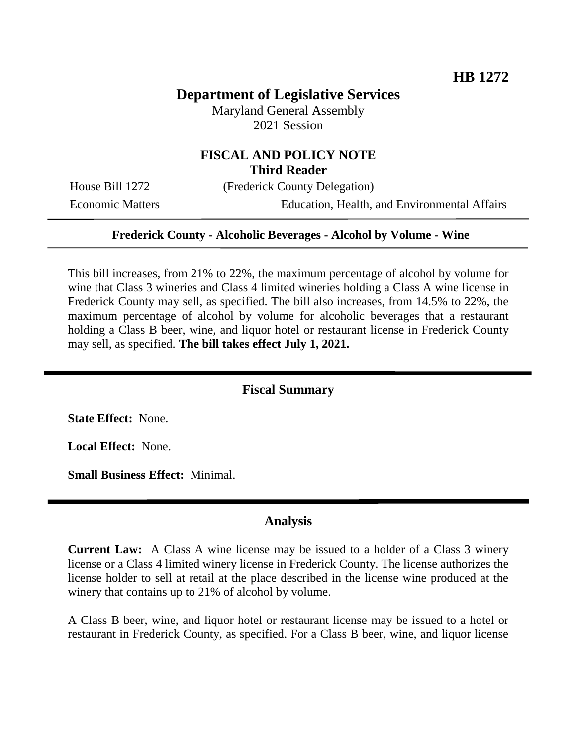# **Department of Legislative Services**

Maryland General Assembly 2021 Session

## **FISCAL AND POLICY NOTE Third Reader**

House Bill 1272 (Frederick County Delegation)

Economic Matters Education, Health, and Environmental Affairs

#### **Frederick County - Alcoholic Beverages - Alcohol by Volume - Wine**

This bill increases, from 21% to 22%, the maximum percentage of alcohol by volume for wine that Class 3 wineries and Class 4 limited wineries holding a Class A wine license in Frederick County may sell, as specified. The bill also increases, from 14.5% to 22%, the maximum percentage of alcohol by volume for alcoholic beverages that a restaurant holding a Class B beer, wine, and liquor hotel or restaurant license in Frederick County may sell, as specified. **The bill takes effect July 1, 2021.**

#### **Fiscal Summary**

**State Effect:** None.

**Local Effect:** None.

**Small Business Effect:** Minimal.

#### **Analysis**

**Current Law:** A Class A wine license may be issued to a holder of a Class 3 winery license or a Class 4 limited winery license in Frederick County. The license authorizes the license holder to sell at retail at the place described in the license wine produced at the winery that contains up to 21% of alcohol by volume.

A Class B beer, wine, and liquor hotel or restaurant license may be issued to a hotel or restaurant in Frederick County, as specified. For a Class B beer, wine, and liquor license